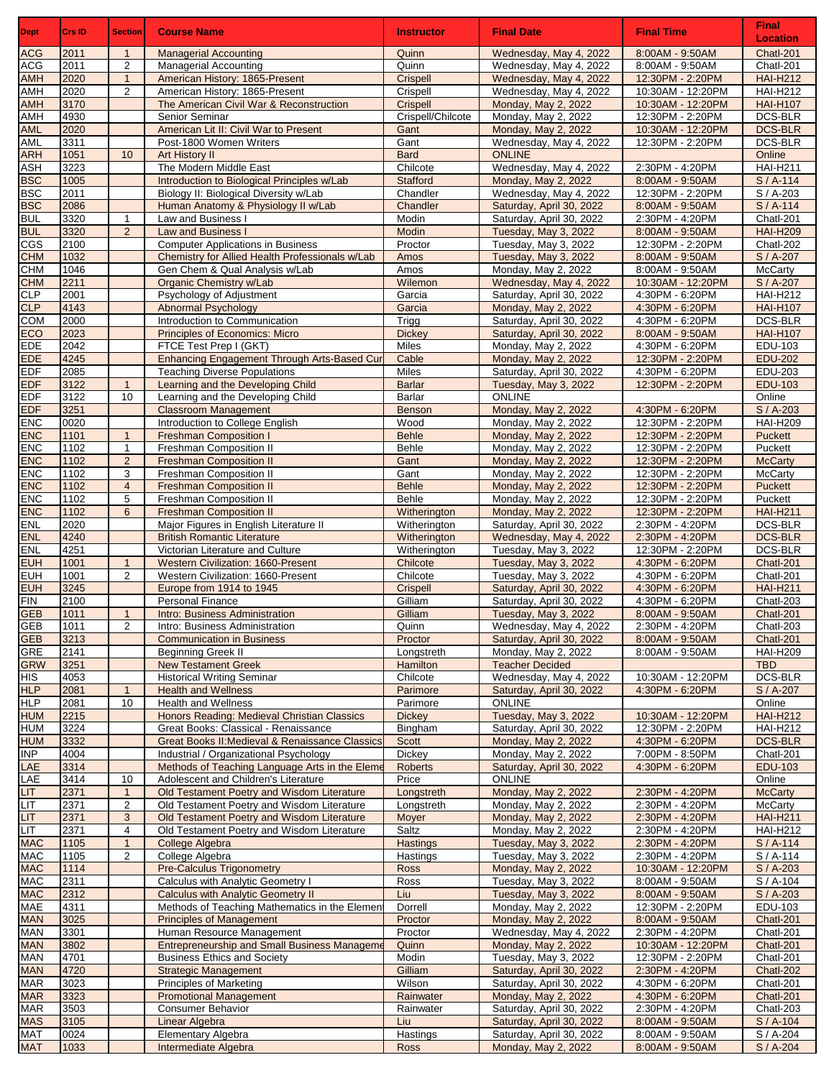| <b>Dept</b>              | Crs ID       | <b>Section</b>                 | <b>Course Name</b>                                                                         | <b>Instructor</b>            | <b>Final Date</b>                                    | <b>Final Time</b>                     | <b>Final</b><br><b>Location</b> |
|--------------------------|--------------|--------------------------------|--------------------------------------------------------------------------------------------|------------------------------|------------------------------------------------------|---------------------------------------|---------------------------------|
| <b>ACG</b>               | 2011         | 1                              | <b>Managerial Accounting</b>                                                               | Quinn                        | Wednesday, May 4, 2022                               | 8:00AM - 9:50AM                       | Chatl-201                       |
| <b>ACG</b>               | 2011         | $\overline{2}$                 | Managerial Accounting                                                                      | Quinn                        | Wednesday, May 4, 2022                               | 8:00AM - 9:50AM                       | Chatl-201                       |
| <b>AMH</b>               | 2020         | $\mathbf{1}$                   | American History: 1865-Present                                                             | Crispell                     | Wednesday, May 4, 2022                               | 12:30PM - 2:20PM                      | <b>HAI-H212</b>                 |
| AMH                      | 2020         | $\overline{2}$                 | American History: 1865-Present                                                             | Crispell                     | Wednesday, May 4, 2022                               | 10:30AM - 12:20PM                     | <b>HAI-H212</b>                 |
| <b>AMH</b>               | 3170         |                                | The American Civil War & Reconstruction                                                    | Crispell                     | Monday, May 2, 2022                                  | 10:30AM - 12:20PM                     | <b>HAI-H107</b>                 |
| AMH<br><b>AML</b>        | 4930<br>2020 |                                | Senior Seminar<br>American Lit II: Civil War to Present                                    | Crispell/Chilcote<br>Gant    | Monday, May 2, 2022<br>Monday, May 2, 2022           | 12:30PM - 2:20PM<br>10:30AM - 12:20PM | DCS-BLR<br><b>DCS-BLR</b>       |
| <b>AML</b>               | 3311         |                                | Post-1800 Women Writers                                                                    | Gant                         | Wednesday, May 4, 2022                               | 12:30PM - 2:20PM                      | DCS-BLR                         |
| <b>ARH</b>               | 1051         | 10                             | <b>Art History II</b>                                                                      | <b>Bard</b>                  | <b>ONLINE</b>                                        |                                       | Online                          |
| <b>ASH</b>               | 3223         |                                | The Modern Middle East                                                                     | Chilcote                     | Wednesday, May 4, 2022                               | 2:30PM - 4:20PM                       | <b>HAI-H211</b>                 |
| <b>BSC</b>               | 1005         |                                | Introduction to Biological Principles w/Lab                                                | <b>Stafford</b>              | Monday, May 2, 2022                                  | 8:00AM - 9:50AM                       | $S/A-114$                       |
| <b>BSC</b>               | 2011         |                                | Biology II: Biological Diversity w/Lab                                                     | Chandler                     | Wednesday, May 4, 2022                               | 12:30PM - 2:20PM                      | S / A-203                       |
| <b>BSC</b>               | 2086         |                                | Human Anatomy & Physiology II w/Lab                                                        | Chandler                     | Saturday, April 30, 2022                             | 8:00AM - 9:50AM                       | $S/A-114$                       |
| <b>BUL</b><br><b>BUL</b> | 3320<br>3320 | $\mathbf{1}$<br>$\overline{2}$ | Law and Business I<br><b>Law and Business I</b>                                            | Modin<br>Modin               | Saturday, April 30, 2022<br>Tuesday, May 3, 2022     | 2:30PM - 4:20PM<br>8:00AM - 9:50AM    | Chatl-201<br><b>HAI-H209</b>    |
| CGS                      | 2100         |                                | <b>Computer Applications in Business</b>                                                   | Proctor                      | Tuesday, May 3, 2022                                 | 12:30PM - 2:20PM                      | Chatl-202                       |
| <b>CHM</b>               | 1032         |                                | Chemistry for Allied Health Professionals w/Lab                                            | Amos                         | Tuesday, May 3, 2022                                 | 8:00AM - 9:50AM                       | $\overline{S}$ / A-207          |
| <b>CHM</b>               | 1046         |                                | Gen Chem & Qual Analysis w/Lab                                                             | Amos                         | Monday, May 2, 2022                                  | 8:00AM - 9:50AM                       | McCarty                         |
| <b>CHM</b>               | 2211         |                                | Organic Chemistry w/Lab                                                                    | Wilemon                      | Wednesday, May 4, 2022                               | 10:30AM - 12:20PM                     | S / A-207                       |
| <b>CLP</b>               | 2001         |                                | Psychology of Adjustment                                                                   | Garcia                       | Saturday, April 30, 2022                             | 4:30PM - 6:20PM                       | <b>HAI-H212</b>                 |
| CLP                      | 4143         |                                | <b>Abnormal Psychology</b>                                                                 | Garcia                       | Monday, May 2, 2022                                  | 4:30PM - 6:20PM                       | <b>HAI-H107</b>                 |
| <b>COM</b><br>ECO        | 2000<br>2023 |                                | Introduction to Communication<br>Principles of Economics: Micro                            | Trigg<br><b>Dickey</b>       | Saturday, April 30, 2022<br>Saturday, April 30, 2022 | 4:30PM - 6:20PM<br>8:00AM - 9:50AM    | DCS-BLR<br><b>HAI-H107</b>      |
| <b>EDE</b>               | 2042         |                                | FTCE Test Prep I (GKT)                                                                     | Miles                        | Monday, May 2, 2022                                  | 4:30PM - 6:20PM                       | EDU-103                         |
| <b>EDE</b>               | 4245         |                                | Enhancing Engagement Through Arts-Based Cur                                                | Cable                        | Monday, May 2, 2022                                  | 12:30PM - 2:20PM                      | <b>EDU-202</b>                  |
| <b>EDF</b>               | 2085         |                                | <b>Teaching Diverse Populations</b>                                                        | Miles                        | Saturday, April 30, 2022                             | 4:30PM - 6:20PM                       | EDU-203                         |
| <b>EDF</b>               | 3122         | $\mathbf{1}$                   | Learning and the Developing Child                                                          | <b>Barlar</b>                | Tuesday, May 3, 2022                                 | 12:30PM - 2:20PM                      | <b>EDU-103</b>                  |
| <b>EDF</b>               | 3122         | 10                             | Learning and the Developing Child                                                          | Barlar                       | <b>ONLINE</b>                                        |                                       | Online                          |
| <b>EDF</b>               | 3251<br>0020 |                                | <b>Classroom Management</b>                                                                | <b>Benson</b>                | Monday, May 2, 2022                                  | 4:30PM - 6:20PM                       | S / A-203                       |
| <b>ENC</b><br><b>ENC</b> | 1101         | $\mathbf{1}$                   | Introduction to College English<br><b>Freshman Composition I</b>                           | Wood<br><b>Behle</b>         | Monday, May 2, 2022<br>Monday, May 2, 2022           | 12:30PM - 2:20PM<br>12:30PM - 2:20PM  | <b>HAI-H209</b><br>Puckett      |
| <b>ENC</b>               | 1102         | $\mathbf{1}$                   | Freshman Composition II                                                                    | Behle                        | Monday, May 2, 2022                                  | 12:30PM - 2:20PM                      | Puckett                         |
| <b>ENC</b>               | 1102         | $\overline{2}$                 | <b>Freshman Composition II</b>                                                             | Gant                         | Monday, May 2, 2022                                  | 12:30PM - 2:20PM                      | <b>McCarty</b>                  |
| <b>ENC</b>               | 1102         | 3                              | Freshman Composition II                                                                    | Gant                         | Monday, May 2, 2022                                  | 12:30PM - 2:20PM                      | McCarty                         |
| <b>ENC</b>               | 1102         | $\overline{4}$                 | <b>Freshman Composition II</b>                                                             | <b>Behle</b>                 | Monday, May 2, 2022                                  | 12:30PM - 2:20PM                      | <b>Puckett</b>                  |
| <b>ENC</b>               | 1102         | 5                              | Freshman Composition II                                                                    | Behle                        | Monday, May 2, 2022                                  | 12:30PM - 2:20PM                      | Puckett                         |
| ENC<br><b>ENL</b>        | 1102<br>2020 | 6                              | <b>Freshman Composition II</b><br>Major Figures in English Literature II                   | Witherington                 | Monday, May 2, 2022<br>Saturday, April 30, 2022      | 12:30PM - 2:20PM<br>2:30PM - 4:20PM   | <b>HAI-H211</b><br>DCS-BLR      |
| <b>ENL</b>               | 4240         |                                | <b>British Romantic Literature</b>                                                         | Witherington<br>Witherington | Wednesday, May 4, 2022                               | 2:30PM - 4:20PM                       | <b>DCS-BLR</b>                  |
| <b>ENL</b>               | 4251         |                                | Victorian Literature and Culture                                                           | Witherington                 | Tuesday, May 3, 2022                                 | 12:30PM - 2:20PM                      | DCS-BLR                         |
| <b>EUH</b>               | 1001         | $\mathbf{1}$                   | Western Civilization: 1660-Present                                                         | Chilcote                     | Tuesday, May 3, 2022                                 | 4:30PM - 6:20PM                       | Chatl-201                       |
| <b>EUH</b>               | 1001         | $\overline{2}$                 | Western Civilization: 1660-Present                                                         | Chilcote                     | Tuesday, May 3, 2022                                 | 4:30PM - 6:20PM                       | Chatl-201                       |
| <b>EUH</b>               | 3245         |                                | Europe from 1914 to 1945                                                                   | Crispell                     | Saturday, April 30, 2022                             | 4:30PM - 6:20PM                       | <b>HAI-H211</b>                 |
| <b>FIN</b>               | 2100         |                                | <b>Personal Finance</b>                                                                    | Gilliam                      | Saturday, April 30, 2022                             | 4:30PM - 6:20PM                       | Chatl-203                       |
| <b>GEB</b><br><b>GEB</b> | 1011<br>1011 | $\mathbf{1}$<br>$\overline{2}$ | <b>Intro: Business Administration</b><br>Intro: Business Administration                    | Gilliam<br>Quinn             | Tuesday, May 3, 2022<br>Wednesday, May 4, 2022       | 8:00AM - 9:50AM<br>2:30PM - 4:20PM    | Chatl-201<br>Chatl-203          |
| <b>GEB</b>               | 3213         |                                | <b>Communication in Business</b>                                                           | Proctor                      | Saturday, April 30, 2022                             | 8:00AM - 9:50AM                       | Chatl-201                       |
| <b>GRE</b>               | 2141         |                                | <b>Beginning Greek II</b>                                                                  | Longstreth                   | Monday, May 2, 2022                                  | 8:00AM - 9:50AM                       | <b>HAI-H209</b>                 |
| <b>GRW</b>               | 3251         |                                | <b>New Testament Greek</b>                                                                 | Hamilton                     | <b>Teacher Decided</b>                               |                                       | <b>TBD</b>                      |
| <b>HIS</b>               | 4053         |                                | <b>Historical Writing Seminar</b>                                                          | Chilcote                     | Wednesday, May 4, 2022                               | 10:30AM - 12:20PM                     | DCS-BLR                         |
| <b>HLP</b>               | 2081         | $\mathbf{1}$                   | <b>Health and Wellness</b>                                                                 | Parimore                     | Saturday, April 30, 2022                             | 4:30PM - 6:20PM                       | $S/A-207$                       |
| <b>HLP</b><br><b>HUM</b> | 2081<br>2215 | 10                             | <b>Health and Wellness</b><br>Honors Reading: Medieval Christian Classics                  | Parimore<br><b>Dickey</b>    | <b>ONLINE</b><br>Tuesday, May 3, 2022                | 10:30AM - 12:20PM                     | Online<br><b>HAI-H212</b>       |
| <b>HUM</b>               | 3224         |                                | Great Books: Classical - Renaissance                                                       | Bingham                      | Saturday, April 30, 2022                             | 12:30PM - 2:20PM                      | <b>HAI-H212</b>                 |
| <b>HUM</b>               | 3332         |                                | Great Books II: Medieval & Renaissance Classics                                            | Scott                        | Monday, May 2, 2022                                  | 4:30PM - 6:20PM                       | <b>DCS-BLR</b>                  |
| INP                      | 4004         |                                | Industrial / Organizational Psychology                                                     | Dickey                       | Monday, May 2, 2022                                  | 7:00PM - 8:50PM                       | Chatl-201                       |
| LAE                      | 3314         |                                | Methods of Teaching Language Arts in the Eleme                                             | <b>Roberts</b>               | Saturday, April 30, 2022                             | 4:30PM - 6:20PM                       | <b>EDU-103</b>                  |
| LAE                      | 3414         | 10                             | Adolescent and Children's Literature                                                       | Price                        | <b>ONLINE</b>                                        |                                       | Online                          |
| <b>LIT</b><br><b>LIT</b> | 2371<br>2371 | $\mathbf{1}$                   | Old Testament Poetry and Wisdom Literature<br>Old Testament Poetry and Wisdom Literature   | Longstreth<br>Longstreth     | Monday, May 2, 2022                                  | 2:30PM - 4:20PM<br>2:30PM - 4:20PM    | <b>McCarty</b><br>McCarty       |
| LIT                      | 2371         | 2<br>3                         | Old Testament Poetry and Wisdom Literature                                                 | Moyer                        | Monday, May 2, 2022<br>Monday, May 2, 2022           | 2:30PM - 4:20PM                       | <b>HAI-H211</b>                 |
| LIT                      | 2371         | 4                              | Old Testament Poetry and Wisdom Literature                                                 | Saltz                        | Monday, May 2, 2022                                  | 2:30PM - 4:20PM                       | <b>HAI-H212</b>                 |
| <b>MAC</b>               | 1105         | $\mathbf{1}$                   | <b>College Algebra</b>                                                                     | <b>Hastings</b>              | Tuesday, May 3, 2022                                 | 2:30PM - 4:20PM                       | $S/A-114$                       |
| <b>MAC</b>               | 1105         | $\overline{2}$                 | College Algebra                                                                            | Hastings                     | Tuesday, May 3, 2022                                 | 2:30PM - 4:20PM                       | $S/A-114$                       |
| <b>MAC</b>               | 1114         |                                | <b>Pre-Calculus Trigonometry</b>                                                           | <b>Ross</b>                  | Monday, May 2, 2022                                  | 10:30AM - 12:20PM                     | S / A-203                       |
| <b>MAC</b>               | 2311         |                                | Calculus with Analytic Geometry I                                                          | Ross                         | Tuesday, May 3, 2022                                 | 8:00AM - 9:50AM                       | $S/A-104$                       |
| <b>MAC</b><br><b>MAE</b> | 2312<br>4311 |                                | <b>Calculus with Analytic Geometry II</b><br>Methods of Teaching Mathematics in the Elemen | Liu<br>Dorrell               | Tuesday, May 3, 2022<br>Monday, May 2, 2022          | 8:00AM - 9:50AM<br>12:30PM - 2:20PM   | $S/A-203$<br>EDU-103            |
| <b>MAN</b>               | 3025         |                                | <b>Principles of Management</b>                                                            | Proctor                      | Monday, May 2, 2022                                  | 8:00AM - 9:50AM                       | Chatl-201                       |
| <b>MAN</b>               | 3301         |                                | Human Resource Management                                                                  | Proctor                      | Wednesday, May 4, 2022                               | 2:30PM - 4:20PM                       | Chatl-201                       |
| <b>MAN</b>               | 3802         |                                | <b>Entrepreneurship and Small Business Manageme</b>                                        | Quinn                        | Monday, May 2, 2022                                  | 10:30AM - 12:20PM                     | Chatl-201                       |
| <b>MAN</b>               | 4701         |                                | <b>Business Ethics and Society</b>                                                         | Modin                        | Tuesday, May 3, 2022                                 | 12:30PM - 2:20PM                      | Chatl-201                       |
| <b>MAN</b>               | 4720         |                                | <b>Strategic Management</b>                                                                | Gilliam                      | Saturday, April 30, 2022                             | 2:30PM - 4:20PM                       | Chatl-202                       |
| <b>MAR</b><br><b>MAR</b> | 3023<br>3323 |                                | Principles of Marketing<br><b>Promotional Management</b>                                   | Wilson<br>Rainwater          | Saturday, April 30, 2022<br>Monday, May 2, 2022      | 4:30PM - 6:20PM<br>4:30PM - 6:20PM    | Chatl-201                       |
| <b>MAR</b>               | 3503         |                                | <b>Consumer Behavior</b>                                                                   | Rainwater                    | Saturday, April 30, 2022                             | 2:30PM - 4:20PM                       | Chatl-201<br>Chatl-203          |
| <b>MAS</b>               | 3105         |                                | Linear Algebra                                                                             | Liu                          | Saturday, April 30, 2022                             | 8:00AM - 9:50AM                       | $S/A-104$                       |
| <b>MAT</b>               | 0024         |                                | Elementary Algebra                                                                         | Hastings                     | Saturday, April 30, 2022                             | 8:00AM - 9:50AM                       | $S/A-204$                       |
| <b>MAT</b>               | 1033         |                                | Intermediate Algebra                                                                       | <b>Ross</b>                  | Monday, May 2, 2022                                  | 8:00AM - 9:50AM                       | S / A-204                       |